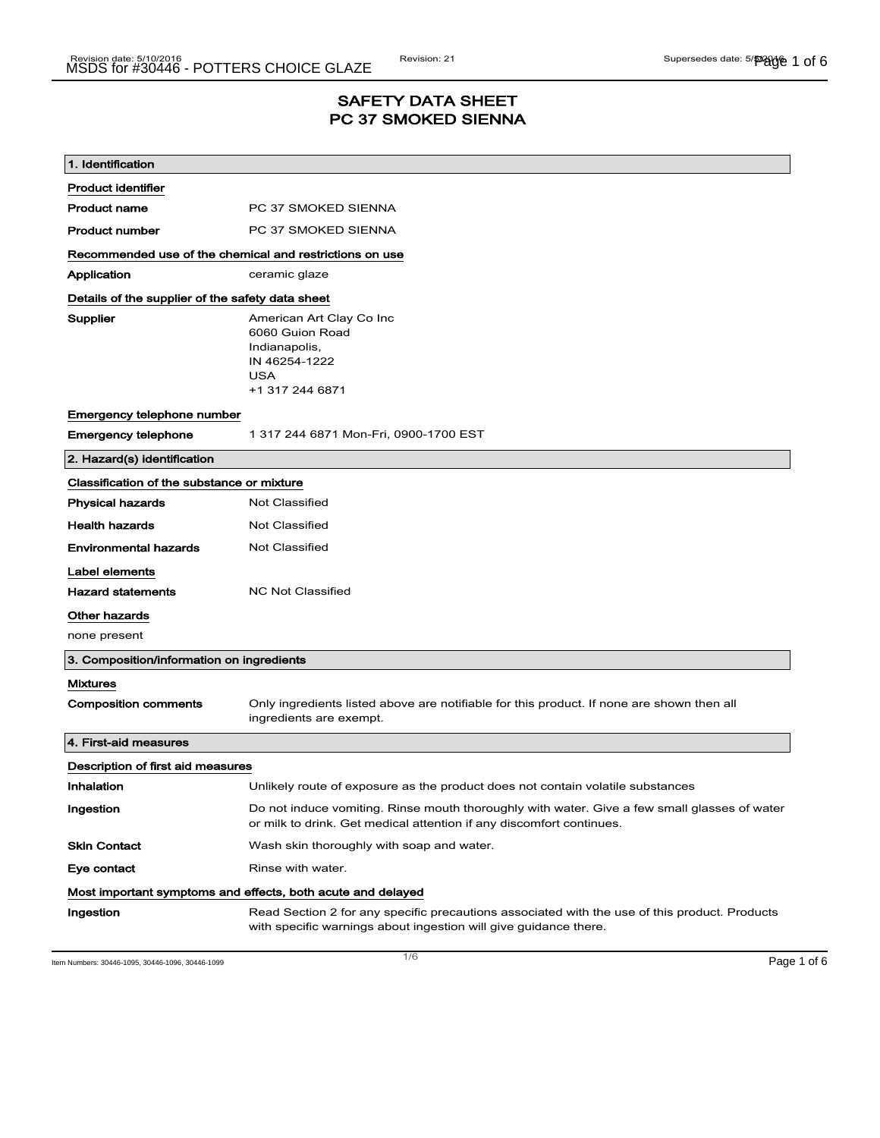## SAFETY DATA SHEET PC 37 SMOKED SIENNA

| 1. Identification                                           |                                                                                                                                                                      |  |
|-------------------------------------------------------------|----------------------------------------------------------------------------------------------------------------------------------------------------------------------|--|
| <b>Product identifier</b>                                   |                                                                                                                                                                      |  |
| <b>Product name</b>                                         | PC 37 SMOKED SIENNA                                                                                                                                                  |  |
| <b>Product number</b>                                       | PC 37 SMOKED SIENNA                                                                                                                                                  |  |
| Recommended use of the chemical and restrictions on use     |                                                                                                                                                                      |  |
| Application                                                 | ceramic glaze                                                                                                                                                        |  |
| Details of the supplier of the safety data sheet            |                                                                                                                                                                      |  |
| Supplier                                                    | American Art Clay Co Inc<br>6060 Guion Road<br>Indianapolis,<br>IN 46254-1222<br><b>USA</b><br>+1 317 244 6871                                                       |  |
| Emergency telephone number                                  |                                                                                                                                                                      |  |
| <b>Emergency telephone</b>                                  | 1 317 244 6871 Mon-Fri, 0900-1700 EST                                                                                                                                |  |
| 2. Hazard(s) identification                                 |                                                                                                                                                                      |  |
| Classification of the substance or mixture                  |                                                                                                                                                                      |  |
| <b>Physical hazards</b>                                     | <b>Not Classified</b>                                                                                                                                                |  |
| <b>Health hazards</b>                                       | Not Classified                                                                                                                                                       |  |
| <b>Environmental hazards</b>                                | Not Classified                                                                                                                                                       |  |
| Label elements                                              |                                                                                                                                                                      |  |
| <b>Hazard statements</b>                                    | <b>NC Not Classified</b>                                                                                                                                             |  |
| Other hazards                                               |                                                                                                                                                                      |  |
| none present                                                |                                                                                                                                                                      |  |
| 3. Composition/information on ingredients                   |                                                                                                                                                                      |  |
| <b>Mixtures</b>                                             |                                                                                                                                                                      |  |
| <b>Composition comments</b>                                 | Only ingredients listed above are notifiable for this product. If none are shown then all<br>ingredients are exempt.                                                 |  |
| 4. First-aid measures                                       |                                                                                                                                                                      |  |
| Description of first aid measures                           |                                                                                                                                                                      |  |
| Inhalation                                                  | Unlikely route of exposure as the product does not contain volatile substances                                                                                       |  |
| Ingestion                                                   | Do not induce vomiting. Rinse mouth thoroughly with water. Give a few small glasses of water<br>or milk to drink. Get medical attention if any discomfort continues. |  |
| <b>Skin Contact</b>                                         | Wash skin thoroughly with soap and water.                                                                                                                            |  |
| Eye contact                                                 | Rinse with water.                                                                                                                                                    |  |
| Most important symptoms and effects, both acute and delayed |                                                                                                                                                                      |  |
| Ingestion                                                   | Read Section 2 for any specific precautions associated with the use of this product. Products<br>with specific warnings about ingestion will give guidance there.    |  |

Item Numbers: 30446-1095, 30446-1096, 30446-1099 Page 1 of 6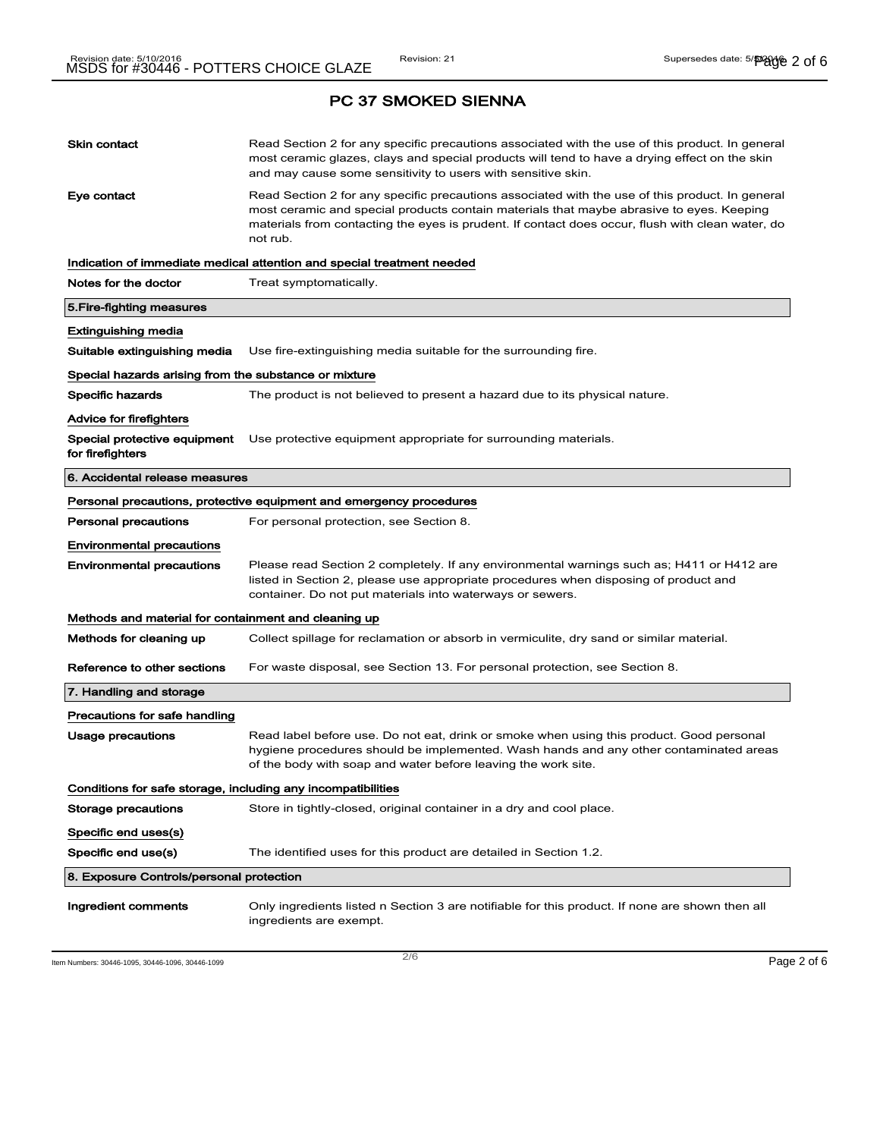| <b>Skin contact</b>                                          | Read Section 2 for any specific precautions associated with the use of this product. In general<br>most ceramic glazes, clays and special products will tend to have a drying effect on the skin<br>and may cause some sensitivity to users with sensitive skin.                                            |
|--------------------------------------------------------------|-------------------------------------------------------------------------------------------------------------------------------------------------------------------------------------------------------------------------------------------------------------------------------------------------------------|
| Eye contact                                                  | Read Section 2 for any specific precautions associated with the use of this product. In general<br>most ceramic and special products contain materials that maybe abrasive to eyes. Keeping<br>materials from contacting the eyes is prudent. If contact does occur, flush with clean water, do<br>not rub. |
|                                                              | Indication of immediate medical attention and special treatment needed                                                                                                                                                                                                                                      |
| Notes for the doctor                                         | Treat symptomatically.                                                                                                                                                                                                                                                                                      |
| 5. Fire-fighting measures                                    |                                                                                                                                                                                                                                                                                                             |
| Extinguishing media                                          |                                                                                                                                                                                                                                                                                                             |
| Suitable extinguishing media                                 | Use fire-extinguishing media suitable for the surrounding fire.                                                                                                                                                                                                                                             |
| Special hazards arising from the substance or mixture        |                                                                                                                                                                                                                                                                                                             |
| Specific hazards                                             | The product is not believed to present a hazard due to its physical nature.                                                                                                                                                                                                                                 |
| <b>Advice for firefighters</b>                               |                                                                                                                                                                                                                                                                                                             |
| Special protective equipment<br>for firefighters             | Use protective equipment appropriate for surrounding materials.                                                                                                                                                                                                                                             |
| 6. Accidental release measures                               |                                                                                                                                                                                                                                                                                                             |
|                                                              | Personal precautions, protective equipment and emergency procedures                                                                                                                                                                                                                                         |
| <b>Personal precautions</b>                                  | For personal protection, see Section 8.                                                                                                                                                                                                                                                                     |
| <b>Environmental precautions</b>                             |                                                                                                                                                                                                                                                                                                             |
| <b>Environmental precautions</b>                             | Please read Section 2 completely. If any environmental warnings such as; H411 or H412 are<br>listed in Section 2, please use appropriate procedures when disposing of product and<br>container. Do not put materials into waterways or sewers.                                                              |
| Methods and material for containment and cleaning up         |                                                                                                                                                                                                                                                                                                             |
| Methods for cleaning up                                      | Collect spillage for reclamation or absorb in vermiculite, dry sand or similar material.                                                                                                                                                                                                                    |
| Reference to other sections                                  | For waste disposal, see Section 13. For personal protection, see Section 8.                                                                                                                                                                                                                                 |
| 7. Handling and storage                                      |                                                                                                                                                                                                                                                                                                             |
| Precautions for safe handling                                |                                                                                                                                                                                                                                                                                                             |
| Usage precautions                                            | Read label before use. Do not eat, drink or smoke when using this product. Good personal<br>hygiene procedures should be implemented. Wash hands and any other contaminated areas<br>of the body with soap and water before leaving the work site.                                                          |
| Conditions for safe storage, including any incompatibilities |                                                                                                                                                                                                                                                                                                             |
| Storage precautions                                          | Store in tightly-closed, original container in a dry and cool place.                                                                                                                                                                                                                                        |
| Specific end uses(s)                                         |                                                                                                                                                                                                                                                                                                             |
| Specific end use(s)                                          | The identified uses for this product are detailed in Section 1.2.                                                                                                                                                                                                                                           |
| 8. Exposure Controls/personal protection                     |                                                                                                                                                                                                                                                                                                             |
| Ingredient comments                                          | Only ingredients listed n Section 3 are notifiable for this product. If none are shown then all<br>ingredients are exempt.                                                                                                                                                                                  |

Item Numbers: 30446-1095, 30446-1096, 30446-1099  $\sim$  2/6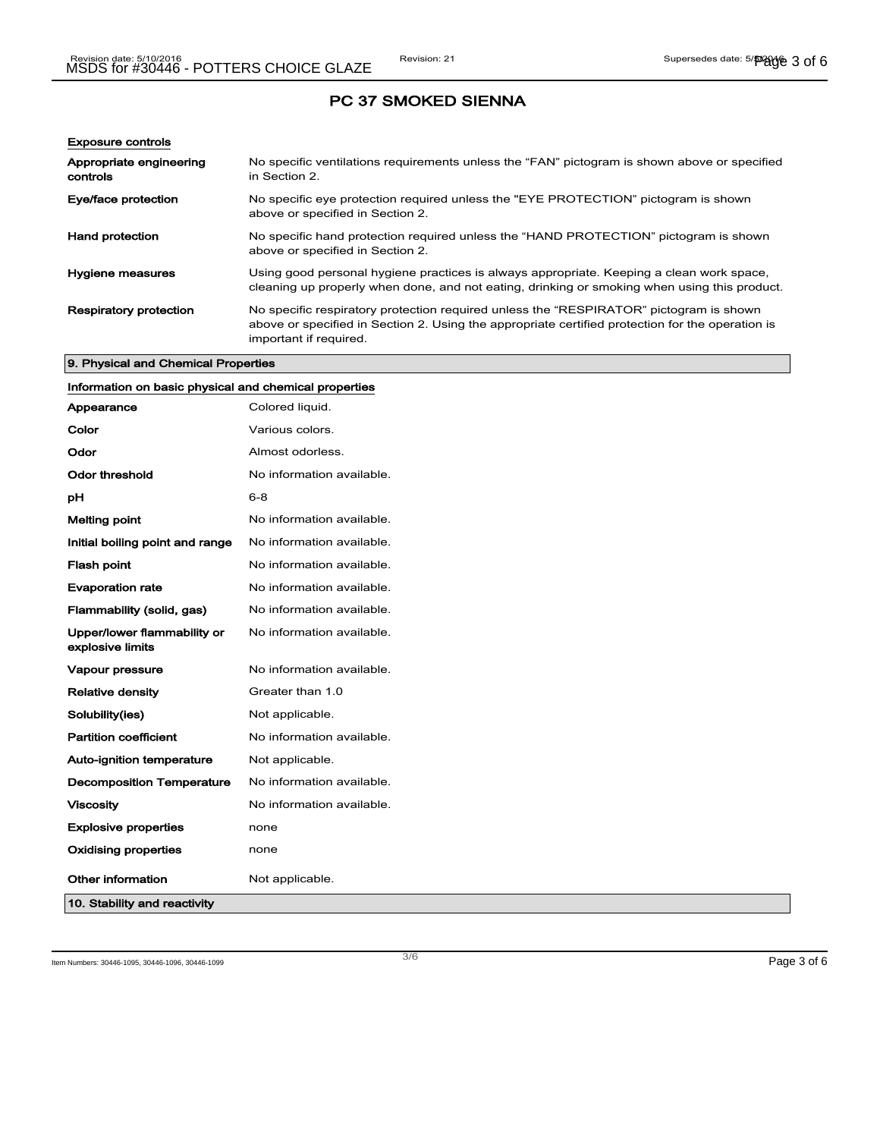| <b>Exposure controls</b>            |                                                                                                                                                                                                                      |
|-------------------------------------|----------------------------------------------------------------------------------------------------------------------------------------------------------------------------------------------------------------------|
| Appropriate engineering<br>controls | No specific ventilations requirements unless the "FAN" pictogram is shown above or specified<br>in Section 2.                                                                                                        |
| Eye/face protection                 | No specific eye protection required unless the "EYE PROTECTION" pictogram is shown<br>above or specified in Section 2.                                                                                               |
| <b>Hand protection</b>              | No specific hand protection required unless the "HAND PROTECTION" pictogram is shown<br>above or specified in Section 2.                                                                                             |
| Hygiene measures                    | Using good personal hygiene practices is always appropriate. Keeping a clean work space,<br>cleaning up properly when done, and not eating, drinking or smoking when using this product.                             |
| <b>Respiratory protection</b>       | No specific respiratory protection required unless the "RESPIRATOR" pictogram is shown<br>above or specified in Section 2. Using the appropriate certified protection for the operation is<br>important if required. |

## 9. Physical and Chemical Properties

| Information on basic physical and chemical properties |                           |  |
|-------------------------------------------------------|---------------------------|--|
| Appearance                                            | Colored liquid.           |  |
| Color                                                 | Various colors.           |  |
| Odor                                                  | Almost odorless.          |  |
| <b>Odor threshold</b>                                 | No information available. |  |
| pH                                                    | $6 - 8$                   |  |
| <b>Melting point</b>                                  | No information available. |  |
| Initial boiling point and range                       | No information available. |  |
| <b>Flash point</b>                                    | No information available. |  |
| <b>Evaporation rate</b>                               | No information available. |  |
| Flammability (solid, gas)                             | No information available. |  |
| Upper/lower flammability or<br>explosive limits       | No information available. |  |
| Vapour pressure                                       | No information available. |  |
| <b>Relative density</b>                               | Greater than 1.0          |  |
| Solubility(ies)                                       | Not applicable.           |  |
| <b>Partition coefficient</b>                          | No information available. |  |
| Auto-ignition temperature                             | Not applicable.           |  |
| <b>Decomposition Temperature</b>                      | No information available. |  |
| <b>Viscosity</b>                                      | No information available. |  |
| <b>Explosive properties</b>                           | none                      |  |
| <b>Oxidising properties</b>                           | none                      |  |
| Other information                                     | Not applicable.           |  |
| 10. Stability and reactivity                          |                           |  |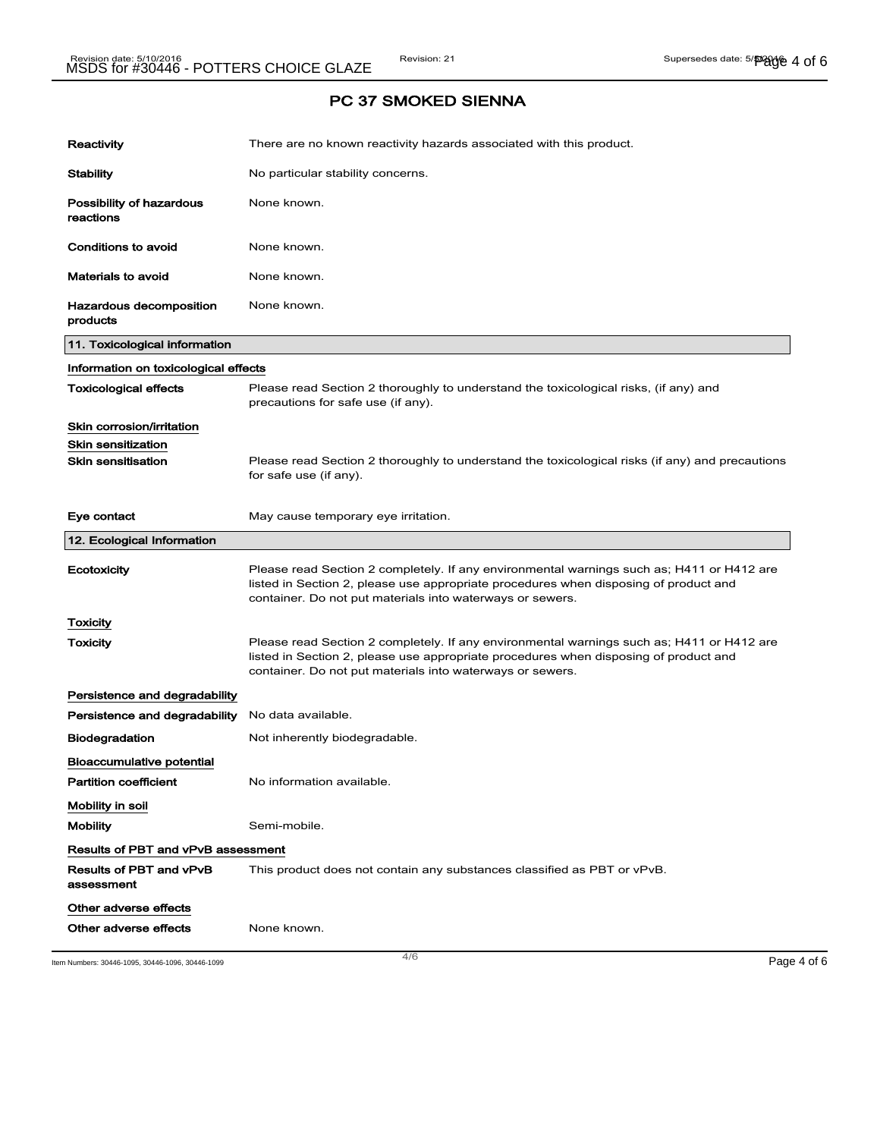| Reactivity                                | There are no known reactivity hazards associated with this product.                                                                                                                                                                            |
|-------------------------------------------|------------------------------------------------------------------------------------------------------------------------------------------------------------------------------------------------------------------------------------------------|
| <b>Stability</b>                          | No particular stability concerns.                                                                                                                                                                                                              |
| Possibility of hazardous<br>reactions     | None known.                                                                                                                                                                                                                                    |
| Conditions to avoid                       | None known.                                                                                                                                                                                                                                    |
| <b>Materials to avoid</b>                 | None known.                                                                                                                                                                                                                                    |
| Hazardous decomposition<br>products       | None known.                                                                                                                                                                                                                                    |
| 11. Toxicological information             |                                                                                                                                                                                                                                                |
| Information on toxicological effects      |                                                                                                                                                                                                                                                |
| <b>Toxicological effects</b>              | Please read Section 2 thoroughly to understand the toxicological risks, (if any) and<br>precautions for safe use (if any).                                                                                                                     |
| Skin corrosion/irritation                 |                                                                                                                                                                                                                                                |
| <b>Skin sensitization</b>                 |                                                                                                                                                                                                                                                |
| <b>Skin sensitisation</b>                 | Please read Section 2 thoroughly to understand the toxicological risks (if any) and precautions<br>for safe use (if any).                                                                                                                      |
| Eye contact                               | May cause temporary eye irritation.                                                                                                                                                                                                            |
| 12. Ecological Information                |                                                                                                                                                                                                                                                |
| Ecotoxicity                               | Please read Section 2 completely. If any environmental warnings such as; H411 or H412 are<br>listed in Section 2, please use appropriate procedures when disposing of product and<br>container. Do not put materials into waterways or sewers. |
| Toxicity                                  |                                                                                                                                                                                                                                                |
| Toxicity                                  | Please read Section 2 completely. If any environmental warnings such as; H411 or H412 are<br>listed in Section 2, please use appropriate procedures when disposing of product and<br>container. Do not put materials into waterways or sewers. |
| Persistence and degradability             |                                                                                                                                                                                                                                                |
| Persistence and degradability             | No data available.                                                                                                                                                                                                                             |
| <b>Biodegradation</b>                     | Not inherently biodegradable.                                                                                                                                                                                                                  |
| Bioaccumulative potential                 |                                                                                                                                                                                                                                                |
| <b>Partition coefficient</b>              | No information available.                                                                                                                                                                                                                      |
| Mobility in soil                          |                                                                                                                                                                                                                                                |
| <b>Mobility</b>                           | Semi-mobile.                                                                                                                                                                                                                                   |
| <b>Results of PBT and vPvB assessment</b> |                                                                                                                                                                                                                                                |
| Results of PBT and vPvB<br>assessment     | This product does not contain any substances classified as PBT or vPvB.                                                                                                                                                                        |
| Other adverse effects                     |                                                                                                                                                                                                                                                |
| Other adverse effects                     | None known.                                                                                                                                                                                                                                    |

Item Numbers: 30446-1095, 30446-1096, 30446-1099 Page 4 of 6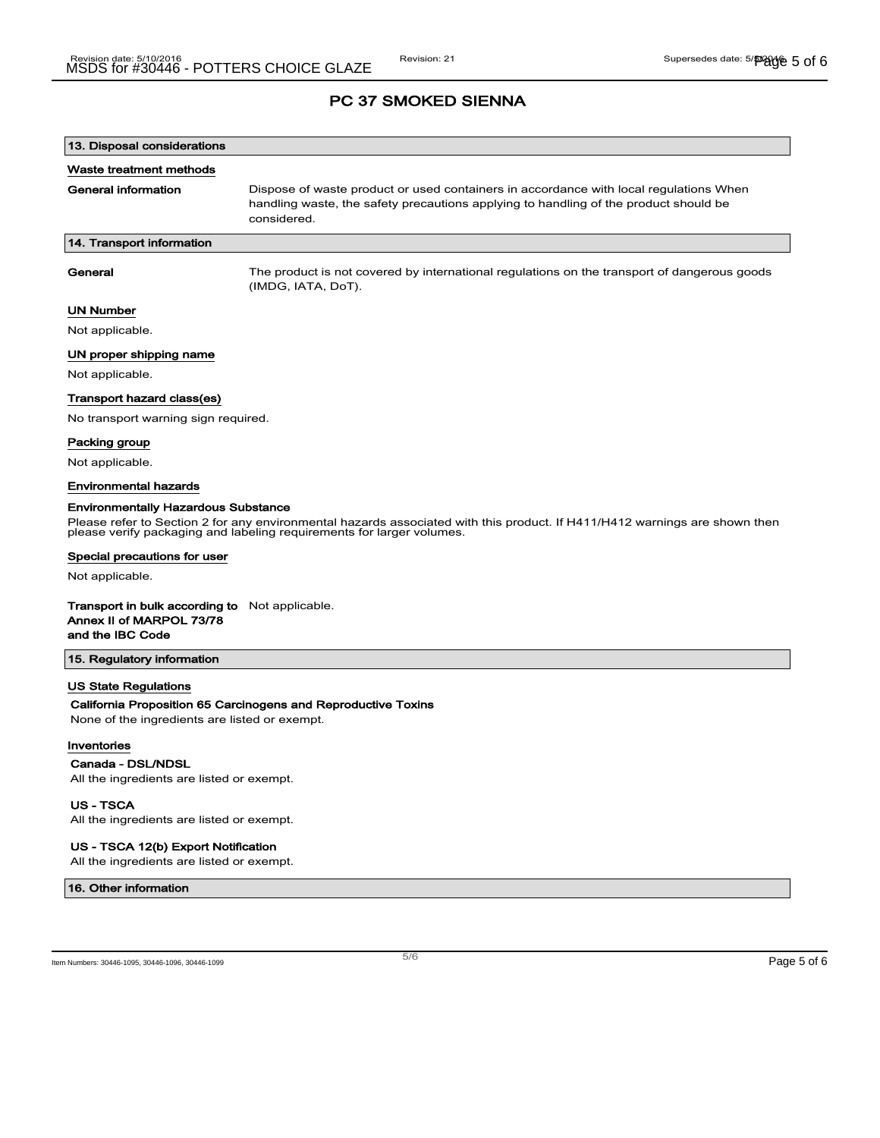| 13. Disposal considerations         |                                                                                                                                                                                              |
|-------------------------------------|----------------------------------------------------------------------------------------------------------------------------------------------------------------------------------------------|
| Waste treatment methods             |                                                                                                                                                                                              |
| General information                 | Dispose of waste product or used containers in accordance with local regulations When<br>handling waste, the safety precautions applying to handling of the product should be<br>considered. |
| 14. Transport information           |                                                                                                                                                                                              |
|                                     |                                                                                                                                                                                              |
| General                             | The product is not covered by international regulations on the transport of dangerous goods<br>(IMDG, IATA, DoT).                                                                            |
| <b>UN Number</b>                    |                                                                                                                                                                                              |
| Not applicable.                     |                                                                                                                                                                                              |
| UN proper shipping name             |                                                                                                                                                                                              |
| Not applicable.                     |                                                                                                                                                                                              |
| Transport hazard class(es)          |                                                                                                                                                                                              |
| No transport warning sign required. |                                                                                                                                                                                              |

Packing group

Not applicable.

### Environmental hazards

#### Environmentally Hazardous Substance

Please refer to Section 2 for any environmental hazards associated with this product. If H411/H412 warnings are shown then please verify packaging and labeling requirements for larger volumes.

#### Special precautions for user

Not applicable.

#### Transport in bulk according to Not applicable.

Annex II of MARPOL 73/78

and the IBC Code

### 15. Regulatory information

### US State Regulations

### California Proposition 65 Carcinogens and Reproductive Toxins

None of the ingredients are listed or exempt.

#### Inventories

#### Canada - DSL/NDSL

All the ingredients are listed or exempt.

### US - TSCA

All the ingredients are listed or exempt.

### US - TSCA 12(b) Export Notification

All the ingredients are listed or exempt.

16. Other information